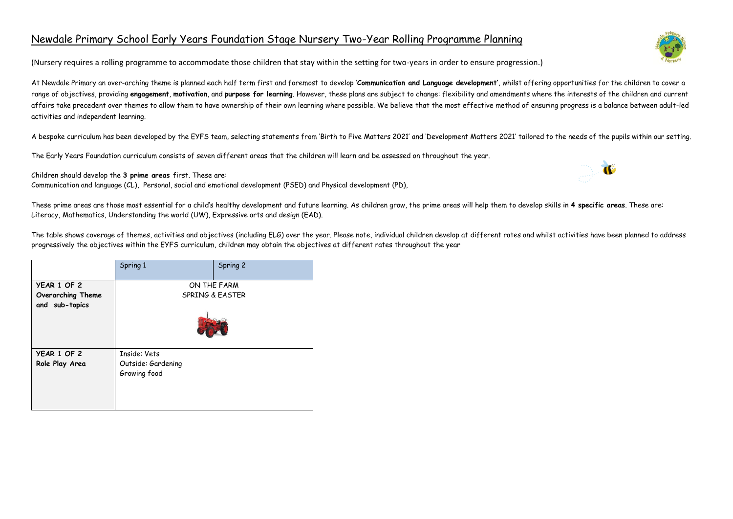## Newdale Primary School Early Years Foundation Stage Nursery Two-Year Rolling Programme Planning

(Nursery requires a rolling programme to accommodate those children that stay within the setting for two-years in order to ensure progression.)

At Newdale Primary an over-arching theme is planned each half term first and foremost to develop '**Communication and Language development'**, whilst offering opportunities for the children to cover a range of objectives, providing **engagement**, **motivation**, and **purpose for learning**. However, these plans are subject to change: flexibility and amendments where the interests of the children and current affairs take precedent over themes to allow them to have ownership of their own learning where possible. We believe that the most effective method of ensuring progress is a balance between adult-led activities and independent learning.

A bespoke curriculum has been developed by the EYFS team, selecting statements from 'Birth to Five Matters 2021' and 'Development Matters 2021' tailored to the needs of the pupils within our setting.

The Early Years Foundation curriculum consists of seven different areas that the children will learn and be assessed on throughout the year.

Children should develop the **3 prime areas** first. These are:

Communication and language (CL), Personal, social and emotional development (PSED) and Physical development (PD),

These prime areas are those most essential for a child's healthy development and future learning. As children grow, the prime areas will help them to develop skills in **4 specific areas**. These are: Literacy, Mathematics, Understanding the world (UW), Expressive arts and design (EAD).

The table shows coverage of themes, activities and objectives (including ELG) over the year. Please note, individual children develop at different rates and whilst activities have been planned to address progressively the objectives within the EYFS curriculum, children may obtain the objectives at different rates throughout the year

|                                     | Spring 1                   | Spring 2 |
|-------------------------------------|----------------------------|----------|
| YEAR 1 OF 2                         | ON THE FARM                |          |
| Overarching Theme<br>and sub-topics | <b>SPRING &amp; EASTER</b> |          |
|                                     |                            |          |
| YEAR 1 OF 2                         | Inside: Vets               |          |
| Role Play Area                      | Outside: Gardening         |          |
|                                     | Growing food               |          |



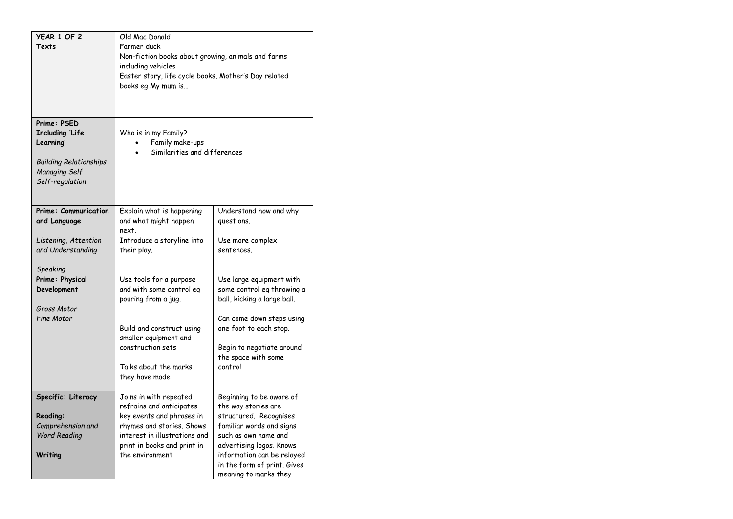| YEAR 1 OF 2<br>Texts                                                                                                          | Old Mac Donald<br>Farmer duck<br>Non-fiction books about growing, animals and farms<br>including vehicles<br>Easter story, life cycle books, Mother's Day related<br>books eq My mum is          |                                                                                                                                                                                                                                                 |  |
|-------------------------------------------------------------------------------------------------------------------------------|--------------------------------------------------------------------------------------------------------------------------------------------------------------------------------------------------|-------------------------------------------------------------------------------------------------------------------------------------------------------------------------------------------------------------------------------------------------|--|
| Prime: PSED<br><b>Including Life</b><br>Learning'<br><b>Building Relationships</b><br><b>Managing Self</b><br>Self-regulation | Who is in my Family?<br>Family make-ups<br>Similarities and differences                                                                                                                          |                                                                                                                                                                                                                                                 |  |
| <b>Prime: Communication</b><br>and Language                                                                                   | Explain what is happening<br>and what might happen<br>next.                                                                                                                                      | Understand how and why<br>questions.                                                                                                                                                                                                            |  |
| Listening, Attention<br>and Understanding<br>Speaking                                                                         | Introduce a storyline into<br>their play.                                                                                                                                                        | Use more complex<br>sentences.                                                                                                                                                                                                                  |  |
| Prime: Physical<br>Development<br>Gross Motor<br>Fine Motor                                                                   | Use tools for a purpose<br>and with some control eg<br>pouring from a jug.<br>Build and construct using<br>smaller equipment and<br>construction sets<br>Talks about the marks<br>they have made | Use large equipment with<br>some control eg throwing a<br>ball, kicking a large ball.<br>Can come down steps using<br>one foot to each stop.<br>Begin to negotiate around<br>the space with some<br>control                                     |  |
| Specific: Literacy<br><b>Reading:</b><br>Comprehension and<br><b>Word Reading</b><br>Writing                                  | Joins in with repeated<br>refrains and anticipates<br>key events and phrases in<br>rhymes and stories. Shows<br>interest in illustrations and<br>print in books and print in<br>the environment  | Beginning to be aware of<br>the way stories are<br>structured. Recognises<br>familiar words and signs<br>such as own name and<br>advertising logos. Knows<br>information can be relayed<br>in the form of print. Gives<br>meaning to marks they |  |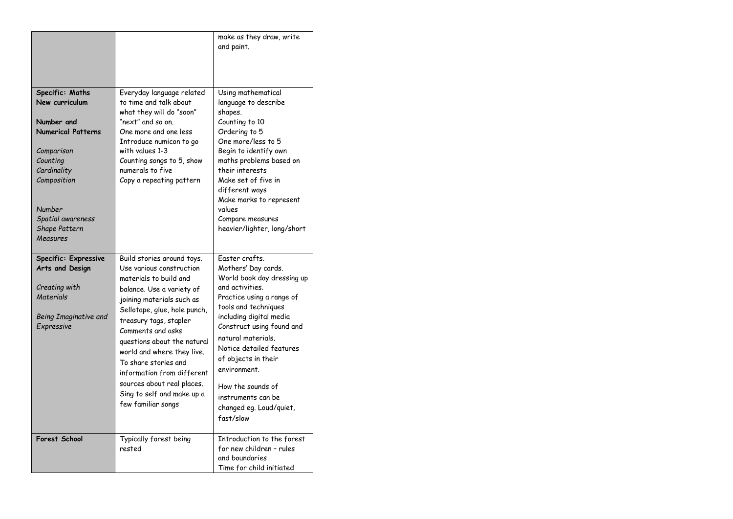|                                                                                                                                                                                                  |                                                                                                                                                                                                                                                                                                                                                                                                                                | make as they draw, write<br>and paint.                                                                                                                                                                                                                                                                                                                                          |
|--------------------------------------------------------------------------------------------------------------------------------------------------------------------------------------------------|--------------------------------------------------------------------------------------------------------------------------------------------------------------------------------------------------------------------------------------------------------------------------------------------------------------------------------------------------------------------------------------------------------------------------------|---------------------------------------------------------------------------------------------------------------------------------------------------------------------------------------------------------------------------------------------------------------------------------------------------------------------------------------------------------------------------------|
| Specific: Maths<br>New curriculum<br>Number and<br><b>Numerical Patterns</b><br>Comparison<br>Counting<br>Cardinality<br>Composition<br>Number<br>Spatial awareness<br>Shape Pattern<br>Measures | Everyday language related<br>to time and talk about<br>what they will do "soon"<br>"next" and so on.<br>One more and one less<br>Introduce numicon to go<br>with values 1-3<br>Counting songs to 5, show<br>numerals to five<br>Copy a repeating pattern                                                                                                                                                                       | Using mathematical<br>language to describe<br>shapes.<br>Counting to 10<br>Ordering to 5<br>One more/less to 5<br>Begin to identify own<br>maths problems based on<br>their interests<br>Make set of five in<br>different ways<br>Make marks to represent<br>values<br>Compare measures<br>heavier/lighter, long/short                                                          |
| <b>Specific: Expressive</b><br>Arts and Design<br>Creating with<br>Materials<br>Being Imaginative and<br>Expressive                                                                              | Build stories around toys.<br>Use various construction<br>materials to build and<br>balance. Use a variety of<br>joining materials such as<br>Sellotape, glue, hole punch,<br>treasury tags, stapler<br>Comments and asks<br>questions about the natural<br>world and where they live.<br>To share stories and<br>information from different<br>sources about real places.<br>Sing to self and make up a<br>few familiar songs | Faster crafts.<br>Mothers' Day cards.<br>World book day dressing up<br>and activities.<br>Practice using a range of<br>tools and techniques<br>including digital media<br>Construct using found and<br>natural materials.<br>Notice detailed features<br>of objects in their<br>environment.<br>How the sounds of<br>instruments can be<br>changed eg. Loud/quiet,<br>fast/slow |
| <b>Forest School</b>                                                                                                                                                                             | Typically forest being<br>rested                                                                                                                                                                                                                                                                                                                                                                                               | Introduction to the forest<br>for new children - rules<br>and boundaries<br>Time for child initiated                                                                                                                                                                                                                                                                            |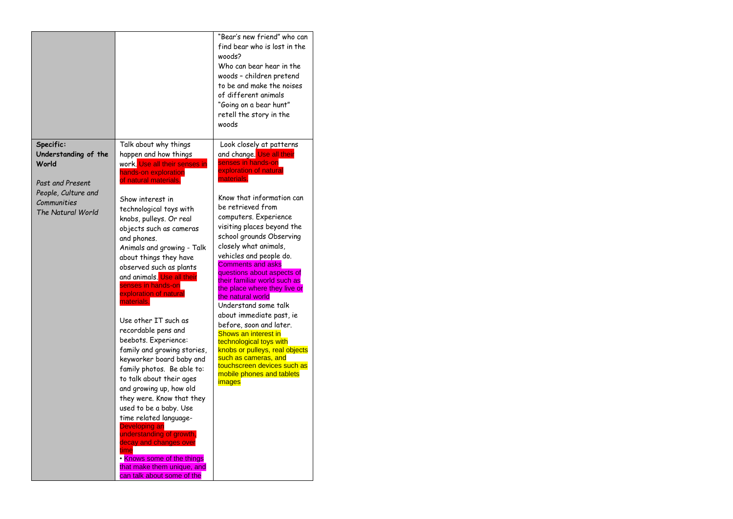|                                                                                                                           |                                                                                                                                                                                                                                                                                                                                                                                                                                                                                                                                                                                                                                                                                                                                                                                                                                                                                                                                  | "Bear's new friend" who can<br>find bear who is lost in the<br>woods?<br>Who can bear hear in the<br>woods - children pretend<br>to be and make the noises<br>of different animals<br>"Going on a bear hunt"<br>retell the story in the<br>woods                                                                                                                                                                                                                                                                                                                                                                                                                                                                              |
|---------------------------------------------------------------------------------------------------------------------------|----------------------------------------------------------------------------------------------------------------------------------------------------------------------------------------------------------------------------------------------------------------------------------------------------------------------------------------------------------------------------------------------------------------------------------------------------------------------------------------------------------------------------------------------------------------------------------------------------------------------------------------------------------------------------------------------------------------------------------------------------------------------------------------------------------------------------------------------------------------------------------------------------------------------------------|-------------------------------------------------------------------------------------------------------------------------------------------------------------------------------------------------------------------------------------------------------------------------------------------------------------------------------------------------------------------------------------------------------------------------------------------------------------------------------------------------------------------------------------------------------------------------------------------------------------------------------------------------------------------------------------------------------------------------------|
| Specific:<br>Understanding of the<br>World<br>Past and Present<br>People, Culture and<br>Communities<br>The Natural World | Talk about why things<br>happen and how things<br>work. Use all their senses in<br>hands-on exploration<br>of natural materials.<br>Show interest in<br>technological toys with<br>knobs, pulleys. Or real<br>objects such as cameras<br>and phones.<br>Animals and growing - Talk<br>about things they have<br>observed such as plants<br>and animals. Use all their<br>senses in hands-on<br>exploration of natural<br>materials.<br>Use other IT such as<br>recordable pens and<br>beebots. Experience:<br>family and growing stories,<br>keyworker board baby and<br>family photos. Be able to:<br>to talk about their ages<br>and growing up, how old<br>they were. Know that they<br>used to be a baby. Use<br>time related language-<br>Developing an<br>understanding of growth,<br>decay and changes over<br><b>time</b> time<br>• Knows some of the things<br>that make them unique, and<br>can talk about some of the | Look closely at patterns<br>and change. Use all their<br>senses in hands-on<br>exploration of natural<br>materials.<br>Know that information can<br>be retrieved from<br>computers. Experience<br>visiting places beyond the<br>school grounds Observing<br>closely what animals,<br>vehicles and people do.<br><b>Comments and asks</b><br>questions about aspects of<br>their familiar world such as<br>the place where they live or<br>the natural world<br>Understand some talk<br>about immediate past, ie<br>before, soon and later.<br>Shows an interest in<br>technological toys with<br>knobs or pulleys, real objects<br>such as cameras, and<br>touchscreen devices such as<br>mobile phones and tablets<br>images |